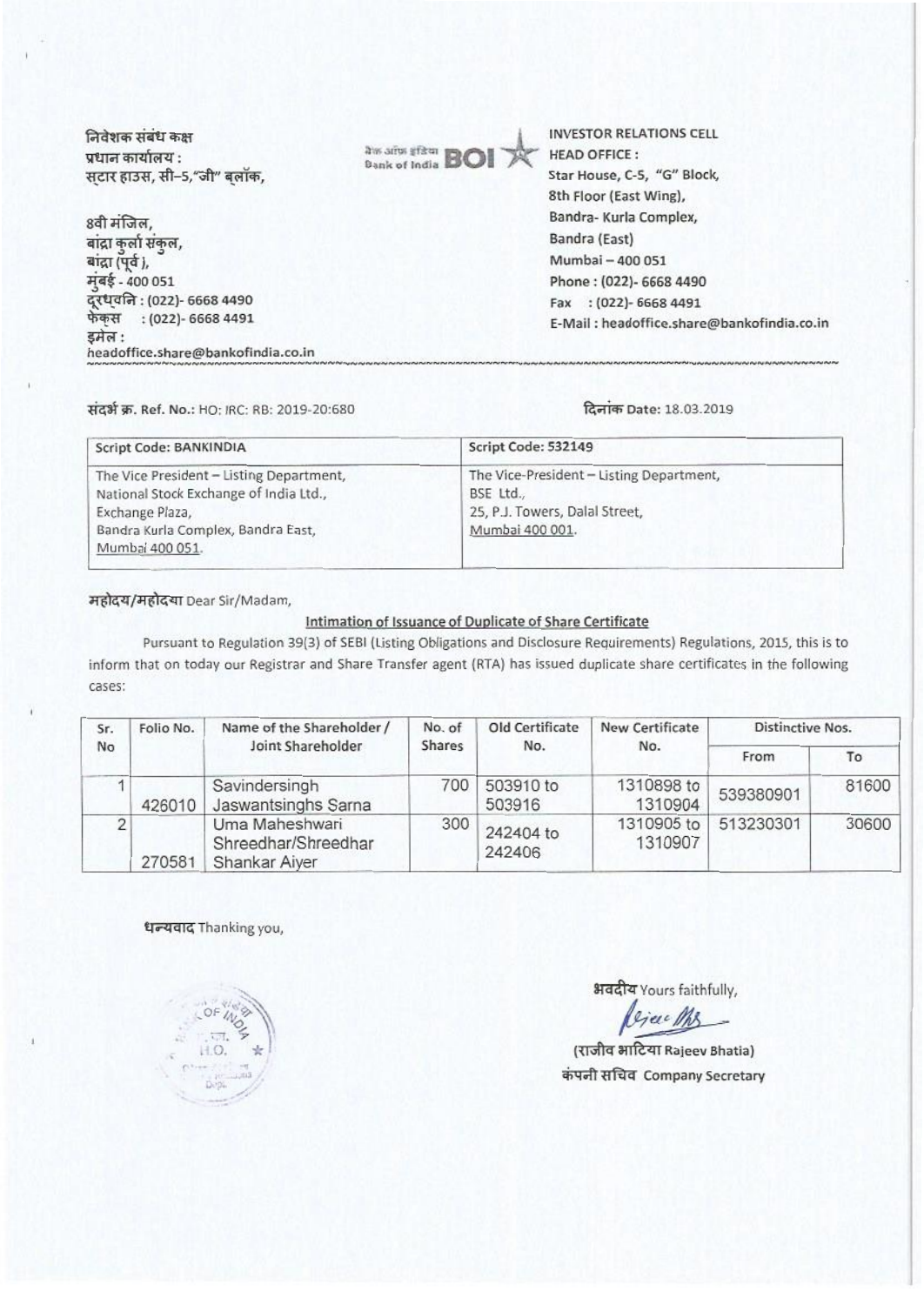निवेशक संबंध कक्ष प्रधान कार्यालय : स्टार हाउस, सी-5,"जी" बलॉक,

8वी मंजिल, बांद्रा कुर्ला संकुल, बांद्रा (पूर्व), मंबई - 400 051 दरधवनि: (022)- 6668 4490 फेकस : (022)- 6668 4491 डमेल : headoffice.share@bankofindia.co.in



INVESTOR RELATIONS CELL HEAD OFFICE : Star House, C-S, "G" Block, 8th Floor (East Wing), Sandra- Kuria Complex, Bandra (East) Mumbai —400 051 Phone : (022)- 6668 4490 Fax : (022)- 6668 4491 E-Mail : headoffice.sharegabankofindia.co.in

## tiatW. Ref. No.: HO: IRC: RB: 2019-20:680 .lien Date: 18.03.2019

**••••••••••••••••••••••••••••••••••• •••• PI•••••••••**

| Script Code: BANKINDIA                                                                                                                                         | Script Code: 532149                                                                                        |  |  |
|----------------------------------------------------------------------------------------------------------------------------------------------------------------|------------------------------------------------------------------------------------------------------------|--|--|
| The Vice President - Listing Department,<br>National Stock Exchange of India Ltd.,<br>Exchange Plaza,<br>Bandra Kurla Complex, Bandra East,<br>Mumbai 400 051. | The Vice-President - Listing Department,<br>BSE Ltd.,<br>25, P.J. Towers, Dalal Street,<br>Mumbai 400 001. |  |  |

महोदय/महोदया Dear Sir/Madam,

## Intimation of Issuance of Duplicate of Share Certificate

Pursuant to Regulation 39(3) of SEBI (Listing Obligations and Disclosure Requirements) Regulations, 2015, this is to inform that on today our Registrar and Share Transfer agent (RTA) has issued duplicate share certificates in the following cases:

| Sr.<br>No | Folio No. | Name of the Shareholder /<br>Joint Shareholder         | No. of<br><b>Shares</b> | Old Certificate<br>No. | New Certificate<br>No. | <b>Distinctive Nos.</b> |       |
|-----------|-----------|--------------------------------------------------------|-------------------------|------------------------|------------------------|-------------------------|-------|
|           |           |                                                        |                         |                        |                        | From                    | To    |
|           | 426010    | Savindersingh<br>Jaswantsinghs Sarna                   | 700                     | 503910 to<br>503916    | 1310898 to<br>1310904  | 539380901               | 81600 |
|           | 270581    | Uma Maheshwari<br>Shreedhar/Shreedhar<br>Shankar Aiyer | 300                     | 242404 to<br>242406    | 1310905 to<br>1310907  | 513230301               | 30600 |

धन्यवाद Thanking you,

भवदीय Yours faithfully,

(राजीव भाटिया Rajeev Bhatia) कंपनी सचिव Company Secretary